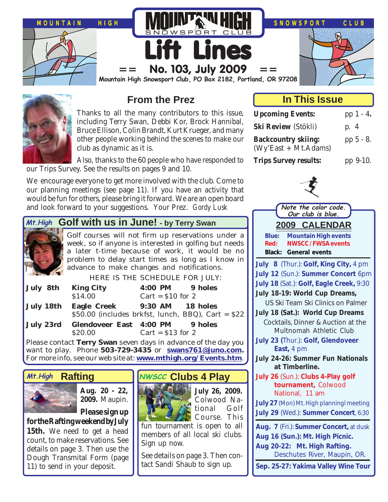



# **From the Prez**

Thanks to all the many contributors to this issue, including Terry Swan, Debbi Kor, Brock Hannibal, Bruce Ellison, Colin Brandt, Kurt Krueger, and many other people working behind the scenes to make our club as dynamic as it is.

Also, thanks to the 60 people who have responded to our Trips Survey. See the results on pages 9 and 10.

We encourage everyone to get more involved with the club. Come to our planning meetings (see page 11). If you have an activity that would be fun for others, please bring it forward. We are an open board and look forward to your suggestions. Your Prez. *Gordy Lusk*

# Mt. High Golf with us in June! - by Terry Swan



Golf courses will not firm up reservations under a week, so if anyone is interested in golfing but needs a later t-time because of work, it would be no problem to delay start times as long as I know in advance to make changes and notifications.

HERE IS THE SCHEDULE FOR JULY:

| July 8th King City                                                                           | 4:00 PM 9 holes    |  |
|----------------------------------------------------------------------------------------------|--------------------|--|
| \$14.00                                                                                      | Cart = $$10$ for 2 |  |
| July 18th Eagle Creek 9:30 AM 18 holes<br>\$50.00 (includes brkfst, lunch, BBQ), Cart = \$22 |                    |  |
| July 23rd Glendoveer East 4:00 PM 9 holes                                                    |                    |  |
| \$20.00                                                                                      | Cart = $$13$ for 2 |  |

Please contact **Terry Swan** seven days in advance of the day you want to play. Phone **503-729-3435** or **[swans761@juno.com.](mailto:swans761@juno.com)** For more info, see our web site at: **[www.mthigh.org/Events.htm](http://www.mthigh.org/Events.htm)**.

## **Rafting**



**Aug. 20 - 22, 2009.** Maupin.

**Please sign up for the Rafting weekend by July**

**15th.** We need to get a head count, to make reservations. See details on page 3. Then use the Dough Transmital Form (page 11) to send in your deposit.

# **Mt.High** Rafting NWSCC Clubs 4 Play



Course. This fun tournament is open to all members of all local ski clubs. Sign up now.

**July 26, 2009.** Colwood National Golf

See details on page 3. Then contact Sandi Shaub to sign up.

## **In This Issue**

| <b>Upcoming Events:</b>                            | pp $1 - 4$ . |
|----------------------------------------------------|--------------|
| Ski Review (Stökli)                                | p. 4         |
| <b>Backcountry skiing:</b><br>(Wy'East + Mt.Adams) | pp 5 - 8.    |
| <b>Trips Survey results:</b>                       | pp 9-10.     |

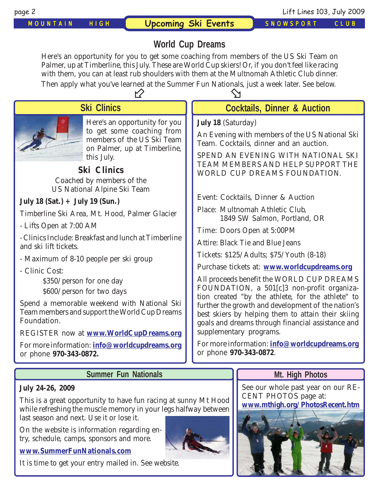*MOUNTAIN HIGH* **Upcoming Ski Events** *SNOWSPORT CLUB*

page 2 Lift Lines 103, July 2009

# **World Cup Dreams**

Here's an opportunity for you to get some coaching from members of the US Ski Team on Palmer, up at Timberline, this July. These are World Cup skiers! Or, if you don't feel like racing with them, you can at least rub shoulders with them at the Multnomah Athletic Club dinner.

| Then apply what you've learned at the Summer Fun Nationals, just a week later. See below.<br>Y)                                                                                                                                                                                                                                                                                                                                                                                                                                                                                                       |                                                                                                                                                                                                                                                                                                                                                                                                                                                                                                                                                                                                                                                                                                                      |  |  |  |
|-------------------------------------------------------------------------------------------------------------------------------------------------------------------------------------------------------------------------------------------------------------------------------------------------------------------------------------------------------------------------------------------------------------------------------------------------------------------------------------------------------------------------------------------------------------------------------------------------------|----------------------------------------------------------------------------------------------------------------------------------------------------------------------------------------------------------------------------------------------------------------------------------------------------------------------------------------------------------------------------------------------------------------------------------------------------------------------------------------------------------------------------------------------------------------------------------------------------------------------------------------------------------------------------------------------------------------------|--|--|--|
| <b>Ski Clinics</b>                                                                                                                                                                                                                                                                                                                                                                                                                                                                                                                                                                                    | <b>Cocktails, Dinner &amp; Auction</b>                                                                                                                                                                                                                                                                                                                                                                                                                                                                                                                                                                                                                                                                               |  |  |  |
| Here's an opportunity for you<br>to get some coaching from<br>members of the US Ski Team<br>on Palmer, up at Timberline,<br>this July.<br><b>Ski Clinics</b><br>Coached by members of the<br><b>US National Alpine Ski Team</b><br>July 18 $(Sat.) + July 19 (Sun.)$<br>Timberline Ski Area, Mt. Hood, Palmer Glacier<br>- Lifts Open at 7:00 AM<br>- Clinics Include: Breakfast and lunch at Timberline<br>and ski lift tickets.<br>- Maximum of 8-10 people per ski group<br>- Clinic Cost:<br>\$350/person for one day<br>\$600/person for two days<br>Spend a memorable weekend with National Ski | <b>July 18 (Saturday)</b><br>An Evening with members of the US National Ski<br>Team. Cocktails, dinner and an auction.<br>SPEND AN EVENING WITH NATIONAL SKI<br>TEAM MEMBERS AND HELP SUPPORT THE<br>WORLD CUP DREAMS FOUNDATION.<br>Event: Cocktails, Dinner & Auction<br>Place: Multnomah Athletic Club,<br>1849 SW Salmon, Portland, OR<br>Time: Doors Open at 5:00PM<br><b>Attire: Black Tie and Blue Jeans</b><br>Tickets: \$125/Adults; \$75/Youth (8-18)<br>Purchase tickets at: www.worldcupdreams.org<br>All proceeds benefit the WORLD CUP DREAMS<br>FOUNDATION, a 501[c]3 non-profit organiza-<br>tion created "by the athlete, for the athlete" to<br>further the growth and development of the nation's |  |  |  |
| Team members and support the World Cup Dreams<br>Foundation.<br>REGISTER now at www.WorldCupDreams.org                                                                                                                                                                                                                                                                                                                                                                                                                                                                                                | best skiers by helping them to attain their skiing<br>goals and dreams through financial assistance and<br>supplementary programs.                                                                                                                                                                                                                                                                                                                                                                                                                                                                                                                                                                                   |  |  |  |
| For more information: info@worldcupdreams.org<br>or phone 970-343-0872.                                                                                                                                                                                                                                                                                                                                                                                                                                                                                                                               | For more information: info@worldcupdreams.org<br>or phone 970-343-0872.                                                                                                                                                                                                                                                                                                                                                                                                                                                                                                                                                                                                                                              |  |  |  |
| <b>Summer Fun Nationals</b>                                                                                                                                                                                                                                                                                                                                                                                                                                                                                                                                                                           | Mt. High Photos                                                                                                                                                                                                                                                                                                                                                                                                                                                                                                                                                                                                                                                                                                      |  |  |  |
|                                                                                                                                                                                                                                                                                                                                                                                                                                                                                                                                                                                                       |                                                                                                                                                                                                                                                                                                                                                                                                                                                                                                                                                                                                                                                                                                                      |  |  |  |

### **July 24-26, 2009**

This is a great opportunity to have fun racing at sunny Mt Hood while refreshing the muscle memory in your legs halfway between last season and next. Use it or lose it.

On the website is information regarding entry, schedule, camps, sponsors and more.

### **[www.SummerFunNationals.com](http://www.SummerFunNationals.com)**

It is time to get your entry mailed in. See website.



See our whole past year on our RE-CENT PHOTOS page at: **[www.mthigh.org/PhotosRecent.htm](http://www.mthigh.org/PhotosRecent.htm)**

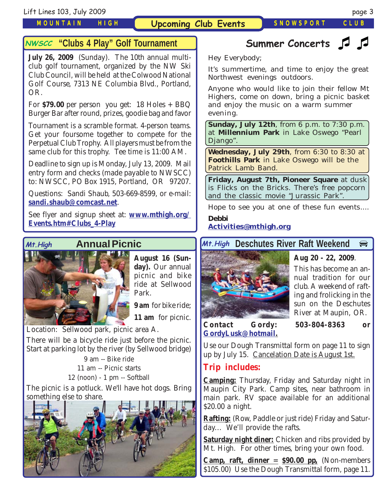### *MOUNTAIN HIGH*

## **Upcoming Club Events** *SNOWSPORT CLUB*

## **"Clubs 4 Play" Golf Tournament**

**July 26, 2009** (Sunday). The 10th annual multiclub golf tournament, organized by the NW Ski Club Council, will be held at the Colwood National Golf Course, 7313 NE Columbia Blvd., Portland, OR.

For  $$79.00$  per person you get: 18 Holes  $+$  BBQ Burger Bar after round, prizes, goodie bag and favor

Tournament is a scramble format. 4-person teams. Get your foursome together to compete for the Perpetual Club Trophy. All players must be from the same club for this trophy. Tee time is 11:00 AM.

Deadline to sign up is Monday, July 13, 2009. Mail entry form and checks (made payable to NWSCC) to: NWSCC, PO Box 1915, Portland, OR 97207.

Questions: Sandi Shaub, 503-669-8599, or e-mail: **[sandi.shaub@comcast.net](mailto:sandi.shaub@comcast.net)**.

See flyer and signup sheet at: **[www.mthigh.org/](http://www.mthigh.org/Events.htm#Clubs_4-Play) [Events.htm#Clubs\\_4-Play](http://www.mthigh.org/Events.htm#Clubs_4-Play)**

## **Annual Picnic**



**August 16 (Sunday).** Our annual picnic and bike ride at Sellwood Park.

**9 am** for bike ride;

**11 am** for picnic.

Location: Sellwood park, picnic area A. There will be a bicycle ride just before the picnic. Start at parking lot by the river (by Sellwood bridge)

> 9 am -- Bike ride 11 am -- Picnic starts 12 (noon) - 1 pm -- Softball

The picnic is a potluck. We'll have hot dogs. Bring something else to share.



### **Summer Concerts NWSCC "Clubs 4 Play" Golf Tournament Concerts Summer Concerts**

Hey Everybody;

It's summertime, and time to enjoy the great Northwest evenings outdoors.

Anyone who would like to join their fellow Mt Highers, come on down, bring a picnic basket and enjoy the music on a warm summer evening.

**Sunday, July 12th**, from 6 p.m. to 7:30 p.m. at **Millennium Park** in Lake Oswego "Pearl Django".

**Wednesday, July 29th**, from 6:30 to 8:30 at **Foothills Park** in Lake Oswego will be the Patrick Lamb Band.

**Friday, August 7th, Pioneer Square** at dusk is Flicks on the Bricks. There's free popcorn and the classic movie "Jurassic Park".

Hope to see you at one of these fun events....

*Debbi* **[Activities@mthigh.org](mailto:Activities@mthigh.org)**

# **Mt. High Annual Picnic Mt. High Deschutes River Raft Weekend**



### **Aug 20 - 22, 2009**.

This has become an annual tradition for our club. A weekend of rafting and frolicking in the sun on the Deschutes River at Maupin, OR.

**Contact Gordy: 503-804-8363 or [GordyLusk@hotmail.](mailto:gordylusk@hotmail.com)**

Use our Dough Transmittal form on page 11 to sign up by July 15. Cancelation Date is August 1st.

## **Trip includes:**

**Camping:** Thursday, Friday and Saturday night in Maupin City Park. Camp sites, near bathroom in main park. RV space available for an additional \$20.00 a night.

**Rafting:** (Row, Paddle or just ride) Friday and Saturday... We'll provide the rafts.

**Saturday night diner:** Chicken and ribs provided by Mt. High. For other times, bring your own food.

**Camp, raft, dinner**  $=$  **\$90.00 pp.** (Non-members \$105.00) Use the Dough Transmittal form, page 11.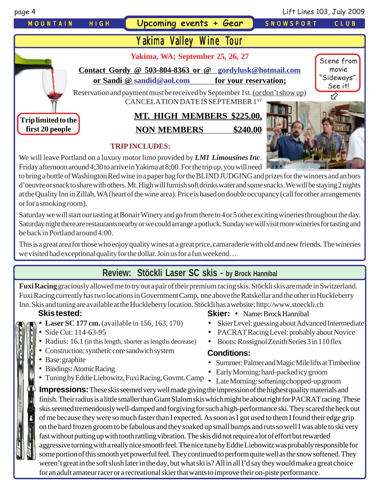

We will leave Portland on a luxury motor limo provided by *LMI Limousines Inc*. Friday afternoon around 4;30 to arrive in Yakima at 8;00. For the trip up, you will need

to bring a bottle of Washington Red wine in a paper bag for the BLIND JUDGING and prizes for the winners and an hors d'oeuvre or snack to share with others. Mt. High will furnish soft drinks water and some snacks. We will be staying 2 nights at the Quality Inn in Zillah, WA (heart of the wine area). Price is based on double occupancy (call for other arrangements or for a smoking room).

Saturday we will start our tasting at Bonair Winery and go from there to 4 or 5 other exciting wineries throughout the day. Saturday night there are restaurants nearby or we could arrange a potluck. Sunday we will visit more wineries for tasting and be back in Portland around 4:00.

This is a great area for those who enjoy quality wines at a great price, camaraderie with old and new friends. The wineries we visited had exceptional quality for the dollar. Join us for a fun weekend…

# **Review: Stöckli Laser SC skis - by Brock Hannibal**

**Fuxi Racing** graciously allowed me to try out a pair of their premium racing skis. Stöckli skis are made in Switzerland. Fuxi Racing currently has two locations in Government Camp, one above the Ratskellar and the other in Huckleberry Inn. Skis and tuning are available at the Huckleberry location. Stöckli has a website: http://www.stoeckli.ch

## **Skis tested:**

- **Laser SC 177 cm.** (available in 156, 163, 170)
- Side Cut: 114-63-95
- Radius: 16.1 (in this length, shorter as lengths decrease)
- Construction: synthetic core sandwich system
- Base: graphite
- Bindings: Atomic Racing
- Tuning by Eddie Liebowitz, Fuxi Racing, Govmt. Camp Late Morning: softening chopped-up groom

**Skier:** • Name: Brock Hannibal

- Skier Level: guessing about Advanced Intermediate
- PACRAT Racing Level: probably about Novice
- Boots: Rossignol Zenith Series 3 in 110 flex

## **Conditions:**

- Summer: Palmer and Magic Mile lifts at Timberline
- Early Morning: hard-packed icy groom
- 

**Impressions:** These skis seemed very well made giving the impression of the highest quality materials and finish. Their radius is a little smaller than Giant Slalom skis which might be about right for PACRAT racing. These skis seemed tremendously well-damped and forgiving for such a high-performance ski. They scared the heck out of me because they were so much faster than I expected. As soon as I got used to them I found their edge grip on the hard frozen groom to be fabulous and they soaked up small bumps and ruts so well I was able to ski very fast without putting up with tooth rattling vibration. The skis did not require a lot of effort but rewarded aggressive turning with a really nice smooth feel. The nice tune by Eddie Liebowitz was probably responsible for some portion of this smooth yet powerful feel. They continued to perform quite well as the snow softened. They weren't great in the soft slush later in the day, but what ski is? All in all I'd say they would make a great choice for an adult amateur racer or a recreational skier that wants to improve their on-piste performance.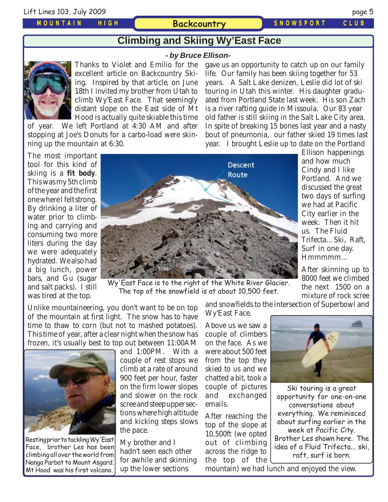### *MOUNTAIN HIGH*

### **Backcountry** *SNOWSPORT CLUB*

# **Climbing and Skiing Wy'East Face**

### **- by Bruce Ellison-**



Thanks to Violet and Emilio for the excellent article on Backcountry Skiing. Inspired by that article, on June 18th I invited my brother from Utah to climb Wy'East Face. That seemingly distant slope on the East side of Mt Hood is actually quite skiable this time

of year. We left Portland at 4:30 AM and after stopping at Joe's Donuts for a carbo-load were skinning up the mountain at 6:30.

gave us an opportunity to catch up on our family life. Our family has been skiing together for 53 years. A Salt Lake denizen, Leslie did lot of ski touring in Utah this winter. His daughter graduated from Portland State last week. His son Zach is a river rafting guide in Missoula. Our 83 year old father is still skiing in the Salt Lake City area. In spite of breaking 15 bones last year and a nasty bout of pneumonia, our father skied 19 times last year. I brought Leslie up to date on the Portland

The most important tool for this kind of skiing is a **fit body**. This was my 5th climb of the year and the first one where I felt strong. By drinking a liter of water prior to climbing and carrying and consuming two more liters during the day we were adequately hydrated. We also had a big lunch, power bars, and Gu (sugar and salt packs). I still was tired at the top.



Wy'East Face is to the right of the White River Glacier. The top of the snowfield is at about 10,500 feet.

Unlike mountaineering, you don't want to be on top of the mountain at first light. The snow has to have time to thaw to corn (but not to mashed potatoes). This time of year, after a clear night when the snow has frozen, it's usually best to top out between 11:00AM



Resting prior to tackling Wy'East Face, brother Les has been climbing all over the world from Nanga Parbat to Mount Asgard. Mt Hood was his first volcano.

and 1:00PM. With a couple of rest stops we climb at a rate of around 900 feet per hour, faster on the firm lower slopes and slower on the rock scree and steep upper sections where high altitude and kicking steps slows the pace.

My brother and I hadn't seen each other for awhile and skinning up the lower sections

Above us we saw a couple of climbers on the face. As we were about 500 feet from the top they skied to us and we chatted a bit, took a couple of pictures and exchanged emails.

Wy'East Face.

After reaching the top of the slope at 10,500ft (we opted out of climbing across the ridge to the top of the



us. The Fluid

the next 1500 on a mixture of rock scree

Ski touring is a great opportunity for one-on-one conversations about everything. We reminisced about surfing earlier in the week at Pacific City. Brother Les shown here. The idea of a Fluid Trifecta... ski, raft, surf is born.

mountain) we had lunch and enjoyed the view.

and snowfields to the intersection of Superbowl and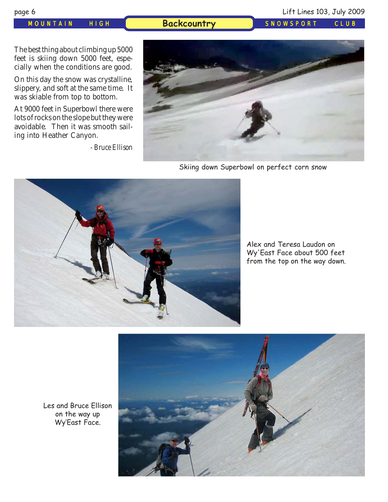*MOUNTAIN HIGH* **Backcountry** *SNOWSPORT CLUB*

The best thing about climbing up 5000 feet is skiing down 5000 feet, especially when the conditions are good.

On this day the snow was crystalline, slippery, and soft at the same time. It was skiable from top to bottom.

At 9000 feet in Superbowl there were lots of rocks on the slope but they were avoidable. Then it was smooth sailing into Heather Canyon.

*- Bruce Ellison*



Skiing down Superbowl on perfect corn snow



Alex and Teresa Laudon on Wy'East Face about 500 feet from the top on the way down.



Les and Bruce Ellison on the way up Wy'East Face.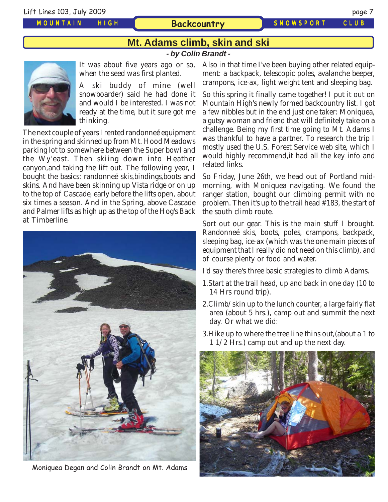### *MOUNTAIN HIGH*

**Backcountry** *SNOWSPORT CLUB*

# **Mt. Adams climb, skin and ski**

**- by Colin Brandt -**



It was about five years ago or so, when the seed was first planted.

A ski buddy of mine (well snowboarder) said he had done it and would I be interested. I was not ready at the time, but it sure got me thinking.

The next couple of years I rented randonneé equipment in the spring and skinned up from Mt. Hood Meadows parking lot to somewhere between the Super bowl and the Wy'east. Then skiing down into Heather canyon,and taking the lift out. The following year, I bought the basics: randonneé skis,bindings,boots and skins. And have been skinning up Vista ridge or on up to the top of Cascade, early before the lifts open, about six times a season. And in the Spring, above Cascade and Palmer lifts as high up as the top of the Hog's Back at Timberline.



Moniquea Degan and Colin Brandt on Mt. Adams

Also in that time I've been buying other related equipment: a backpack, telescopic poles, avalanche beeper, crampons, ice-ax, light weight tent and sleeping bag.

So this spring it finally came together! I put it out on Mountain High's newly formed backcountry list. I got a few nibbles but in the end just one taker: Moniquea, a gutsy woman and friend that will definitely take on a challenge. Being my first time going to Mt. Adams I was thankful to have a partner. To research the trip I mostly used the U.S. Forest Service web site, which I would highly recommend,it had all the key info and related links.

So Friday, June 26th, we head out of Portland midmorning, with Moniquea navigating. We found the ranger station, bought our climbing permit with no problem. Then it's up to the trail head #183, the start of the south climb route.

Sort out our gear. This is the main stuff I brought. Randonneé skis, boots, poles, crampons, backpack, sleeping bag, ice-ax (which was the one main pieces of equipment that I really did not need on this climb), and of course plenty or food and water.

I'd say there's three basic strategies to climb Adams.

- 1.Start at the trail head, up and back in one day (10 to 14 Hrs round trip).
- 2.Climb/skin up to the lunch counter, a large fairly flat area (about 5 hrs.), camp out and summit the next day. Or what we did:
- 3.Hike up to where the tree line thins out,(about a 1 to 1 1/2 Hrs.) camp out and up the next day.

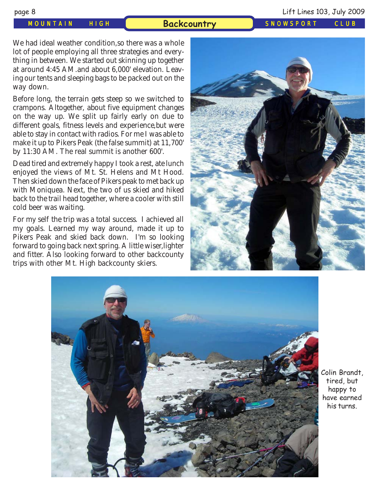### *MOUNTAIN HIGH* **Backcountry** *SNOWSPORT CLUB*

### page 8 Lift Lines 103, July 2009

We had ideal weather condition,so there was a whole lot of people employing all three strategies and everything in between. We started out skinning up together at around 4:45 AM.and about 6,000' elevation. Leaving our tents and sleeping bags to be packed out on the way down.

Before long, the terrain gets steep so we switched to crampons. Altogether, about five equipment changes on the way up. We split up fairly early on due to different goals, fitness levels and experience,but were able to stay in contact with radios. For me I was able to make it up to Pikers Peak (the false summit) at 11,700' by 11:30 AM. The real summit is another 600'.

Dead tired and extremely happy I took a rest, ate lunch enjoyed the views of Mt. St. Helens and Mt Hood. Then skied down the face of Pikers peak to met back up with Moniquea. Next, the two of us skied and hiked back to the trail head together, where a cooler with still cold beer was waiting.

For my self the trip was a total success. I achieved all my goals. Learned my way around, made it up to Pikers Peak and skied back down. I'm so looking forward to going back next spring. A little wiser,lighter and fitter. Also looking forward to other backcounty trips with other Mt. High backcounty skiers.





Colin Brandt, tired, but happy to have earned his turns.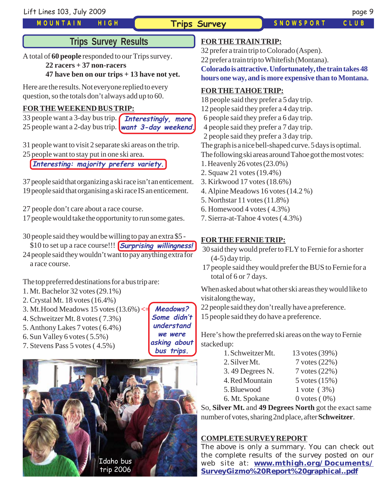Lift Lines 103, July 2009 page 9

### *MOUNTAIN HIGH*

**Meadows? Some didn't understand we were asking about**

**Trips Survey** *SNOWSPORT CLUB*

# **Trips Survey Results**

A total of **60 people** responded to our Trips survey.

### **22 racers + 37 non-racers**

### **47 have ben on our trips + 13 have not yet.**

Here are the results. Not everyone replied to every question, so the totals don't always add up to 60.

### **FOR THE WEEKEND BUS TRIP:**

33 people want a 3-day bus trip. **Interestingly, more** 25 people want a 2-day bus trip. *want 3-day weekend.* 

31 people want to visit 2 separate ski areas on the trip.

25 people want to stay put in one ski area.

**Interesting: majority prefers variety.**

37 people said that organizing a ski race isn't an enticement. 19 people said that organising a ski race IS an enticement.

27 people don't care about a race course.

17 people would take the opportunity to run some gates.

30 people said they would be willing to pay an extra \$5 - \$10 to set up a race course!!! **Surprising willingness!**

24 people said they wouldn't want to pay anything extra for a race course.

The top preferred destinations for a bus trip are:

- 1. Mt. Bachelor 32 votes (29.1%)
- 2. Crystal Mt. 18 votes (16.4%)
- 3. Mt.Hood Meadows 15 votes (13.6%) **<=**
- 4. Schweitzer Mt. 8 votes ( 7.3%)
- 5. Anthony Lakes 7 votes ( 6.4%)
- 6. Sun Valley 6 votes ( 5.5%)
- 7. Stevens Pass 5 votes ( 4.5%)

**bus trips.** Idaho bus

trip 2006

## **FOR THE TRAIN TRIP:**

32 prefer a train trip to Colorado (Aspen).

22 prefer a train trip to Whitefish (Montana).

**Colorado is attractive. Unfortunately, the train takes 48 hours one way, and is more expensive than to Montana.**

### **FOR THE TAHOE TRIP:**

18 people said they prefer a 5 day trip.

- 12 people said they prefer a 4 day trip.
- 6 people said they prefer a 6 day trip.
- 4 people said they prefer a 7 day trip.
- 2 people said they prefer a 3 day trip.

The graph is a nice bell-shaped curve. 5 days is optimal.

The following ski areas around Tahoe got the most votes:

- 1. Heavenly 26 votes (23.0%)
- 2. Squaw 21 votes (19.4%)
- 3. Kirkwood 17 votes (18.6%)
- 4. Alpine Meadows 16 votes (14.2 %)
- 5. Northstar 11 votes (11.8%)
- 6. Homewood 4 votes ( 4.3%)
- 7. Sierra-at-Tahoe 4 votes ( 4.3%)

### **FOR THE FERNIE TRIP:**

- 30 said they would prefer to FLY to Fernie for a shorter (4-5) day trip.
- 17 people said they would prefer the BUS to Fernie for a total of 6 or 7 days.

When asked about what other ski areas they would like to visit along the way,

22 people said they don't really have a preference.

15 people said they do have a preference.

Here's how the preferred ski areas on the way to Fernie stacked up:

| 1. Schweitzer Mt. | 13 votes (39%)    |
|-------------------|-------------------|
| 2. Silver Mt.     | 7 votes (22%)     |
| 3.49 Degrees N.   | 7 votes (22%)     |
| 4. Red Mountain   | 5 votes (15%)     |
| 5. Bluewood       | $1$ vote $(3%)$   |
| 6. Mt. Spokane    | $0$ votes $(0\%)$ |

So, **Silver Mt.** and **49 Degrees North** got the exact same number of votes, sharing 2nd place, after **Schweitzer**.

### **COMPLETE SURVEY REPORT**

The above is only a summary. You can check out the complete results of the survey posted on our web site at: **[www.mthigh.org/Documents/](http://www.mthigh.org/Documents/SurveyGizmo%20Report%20graphical..pdf) [SurveyGizmo%20Report%20graphical..pdf](http://www.mthigh.org/Documents/SurveyGizmo%20Report%20graphical..pdf)**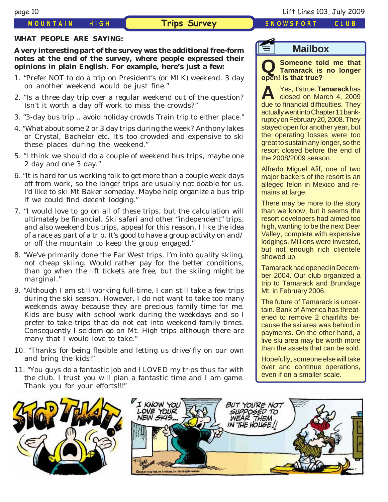### *MOUNTAIN HIGH* **Trips Survey** *SNOWSPORT CLUB*

### **WHAT PEOPLE ARE SAYING:**

### **A very interesting part of the survey was the additional free-form notes at the end of the survey, where people expressed their opinions in plain English. For example, here's just a few:**

- 1. "Prefer NOT to do a trip on President's (or MLK) weekend. 3 day on another weekend would be just fine."
- 2. "Is a three day trip over a regular weekend out of the question? Isn't it worth a day off work to miss the crowds?"
- 3. "3-day bus trip .. avoid holiday crowds Train trip to either place."
- 4. "What about some 2 or 3 day trips during the week? Anthony lakes or Crystal, Bachelor etc. It's too crowded and expensive to ski these places during the weekend."
- 5. "I think we should do a couple of weekend bus trips, maybe one 2 day and one 3 day."
- 6. "It is hard for us working folk to get more than a couple week days off from work, so the longer trips are usually not doable for us. I'd like to ski Mt Baker someday. Maybe help organize a bus trip if we could find decent lodging."
- 7. "I would love to go on all of these trips, but the calculation will ultimately be financial. Ski safari and other "independent" trips, and also weekend bus trips, appeal for this reason. I like the idea of a race as part of a trip. It's good to have a group activity on and/ or off the mountain to keep the group engaged."
- 8. "We've primarily done the Far West trips. I'm into quality skiing, not cheap skiing. Would rather pay for the better conditions, than go when the lift tickets are free, but the skiing might be marginal."
- 9. "Although I am still working full-time, I can still take a few trips during the ski season. However, I do not want to take too many weekends away because they are precious family time for me. Kids are busy with school work during the weekdays and so I prefer to take trips that do not eat into weekend family times. Consequently I seldom go on Mt. High trips although there are many that I would love to take."
- 10. "Thanks for being flexible and letting us drive/fly on our own and bring the kids!"
- 11. "You guys do a fantastic job and I LOVED my trips thus far with the club. I trust you will plan a fantastic time and I am game. Thank you for your efforts!!!"

# **Q Someone told me that Tamarack is no longer open! Is that true? f**

**Mailbox**

**A** Yes, it's true. **Tamarack** has closed on March 4, 2009 due to financial difficulties. They actually went into Chapter 11 bankruptcy on February 20, 2008. They stayed open for another year, but the operating losses were too great to sustain any longer, so the resort closed before the end of the 2008/2009 season.

Alfredo Miguel Afif, one of two major backers of the resort is an alleged felon in Mexico and remains at large.

There may be more to the story than we know, but it seems the resort developers had aimed too high, wanting to be the next Deer Valley, complete with expensive lodgings. Millions were invested, but not enough rich clientele showed up.

Tamarack had opened in December 2004. Our club organized a trip to Tamarack and Brundage Mt. in February 2006.

The future of Tamarack is uncertain. Bank of America has threatened to remove 2 chairlifts because the ski area was behind in payments. On the other hand, a live ski area may be worth more than the assets that can be sold.

Hopefully, someone else will take over and continue operations, even if on a smaller scale.



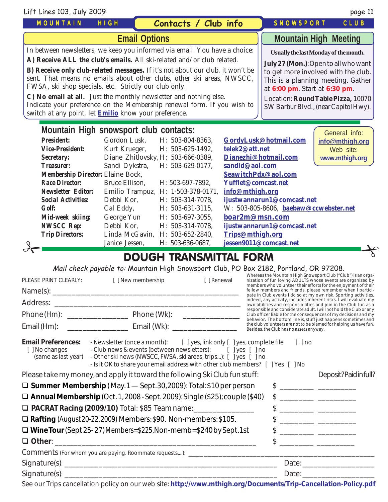| Contacts / Club info<br><b>MOUNTAIN</b><br>HIGH<br><b>SNOWSPORT</b><br><b>Mountain High Meeting</b><br><b>Email Options</b><br>In between newsletters, we keep you informed via email. You have a choice:<br>Usually the last Monday of the month.<br>A) Receive ALL the club's emails. All ski-related and/or club related.<br>July 27 (Mon.): Open to all who want<br><b>B) Receive only club-related messages.</b> If it's not about our club, it won't be<br>to get more involved with the club.<br>sent. That means no emails about other clubs, other ski areas, NWSCC,<br>This is a planning meeting. Gather<br>FWSA, ski shop specials, etc. Strictly our club only.<br>at 6:00 pm. Start at 6:30 pm.<br>C) No email at all. Just the monthly newsletter and nothing else.<br>Location: Round Table Pizza, 10070<br>Indicate your preference on the Membership renewal form. If you wish to<br>SW Barbur Blvd., (near Capitol Hwy).<br>switch at any point, let <b>Emilio</b> know your preference.<br>Mountain High snowsport club contacts:<br>General info:<br><b>President:</b><br>Gordon Lusk.<br>H: 503-804-8363,<br>GordyLusk@hotmail.com<br>info@mthigh.org<br>telek2@att.net<br><b>Vice-President:</b><br>Kurt Krueger,<br>H: 503-625-1492,<br>Web site:<br>Diane Zhitlovsky, H: 503-666-0389,<br>Dianezhi@hotmail.com<br><b>Secretary:</b><br>www.mthigh.org<br>Sandi Dykstra,<br>H: 503-629-0177,<br>sandid@aol.com<br><b>Treasurer:</b><br>Membership Director: Elaine Bock,<br>SeawitchPdx@aol.com<br><b>Race Director:</b><br>Yuffiet@comcast.net<br>Bruce Ellison,<br>H: 503-697-7892,<br><b>Newsletter Editor:</b><br>Emilio Trampuz, H: 1-503-378-0171,<br>info@mthigh.org<br><b>Social Activities:</b><br>Debbi Kor,<br>H: 503-314-7078,<br>ijustwannarun1@comcast.net<br>Cal Eddy,<br>W: 503-805-8606, baebaw@ccwebster.net<br><b>Golf:</b><br>H: 503-631-3115,<br>boar2m@msn.com<br>George Yun<br>Mid-week skiing:<br>H: 503-697-3055,<br>Debbi Kor.<br><b>NWSCC Rep:</b><br>H: 503-314-7078,<br>ijustwannarun1@comcast.net<br><b>Trip Directors:</b><br>Linda McGavin, H: 503-652-2840,<br>Trips@mthigh.org | Lift Lines 103, July 2009 |  |  |  | page 11 |
|------------------------------------------------------------------------------------------------------------------------------------------------------------------------------------------------------------------------------------------------------------------------------------------------------------------------------------------------------------------------------------------------------------------------------------------------------------------------------------------------------------------------------------------------------------------------------------------------------------------------------------------------------------------------------------------------------------------------------------------------------------------------------------------------------------------------------------------------------------------------------------------------------------------------------------------------------------------------------------------------------------------------------------------------------------------------------------------------------------------------------------------------------------------------------------------------------------------------------------------------------------------------------------------------------------------------------------------------------------------------------------------------------------------------------------------------------------------------------------------------------------------------------------------------------------------------------------------------------------------------------------------------------------------------------------------------------------------------------------------------------------------------------------------------------------------------------------------------------------------------------------------------------------------------------------------------------------------------------------------------------------------------------------------------------------------------------------------------------------------------------------------|---------------------------|--|--|--|---------|
|                                                                                                                                                                                                                                                                                                                                                                                                                                                                                                                                                                                                                                                                                                                                                                                                                                                                                                                                                                                                                                                                                                                                                                                                                                                                                                                                                                                                                                                                                                                                                                                                                                                                                                                                                                                                                                                                                                                                                                                                                                                                                                                                          |                           |  |  |  | CLUB    |
|                                                                                                                                                                                                                                                                                                                                                                                                                                                                                                                                                                                                                                                                                                                                                                                                                                                                                                                                                                                                                                                                                                                                                                                                                                                                                                                                                                                                                                                                                                                                                                                                                                                                                                                                                                                                                                                                                                                                                                                                                                                                                                                                          |                           |  |  |  |         |
|                                                                                                                                                                                                                                                                                                                                                                                                                                                                                                                                                                                                                                                                                                                                                                                                                                                                                                                                                                                                                                                                                                                                                                                                                                                                                                                                                                                                                                                                                                                                                                                                                                                                                                                                                                                                                                                                                                                                                                                                                                                                                                                                          |                           |  |  |  |         |
|                                                                                                                                                                                                                                                                                                                                                                                                                                                                                                                                                                                                                                                                                                                                                                                                                                                                                                                                                                                                                                                                                                                                                                                                                                                                                                                                                                                                                                                                                                                                                                                                                                                                                                                                                                                                                                                                                                                                                                                                                                                                                                                                          |                           |  |  |  |         |
|                                                                                                                                                                                                                                                                                                                                                                                                                                                                                                                                                                                                                                                                                                                                                                                                                                                                                                                                                                                                                                                                                                                                                                                                                                                                                                                                                                                                                                                                                                                                                                                                                                                                                                                                                                                                                                                                                                                                                                                                                                                                                                                                          |                           |  |  |  |         |
|                                                                                                                                                                                                                                                                                                                                                                                                                                                                                                                                                                                                                                                                                                                                                                                                                                                                                                                                                                                                                                                                                                                                                                                                                                                                                                                                                                                                                                                                                                                                                                                                                                                                                                                                                                                                                                                                                                                                                                                                                                                                                                                                          |                           |  |  |  |         |
|                                                                                                                                                                                                                                                                                                                                                                                                                                                                                                                                                                                                                                                                                                                                                                                                                                                                                                                                                                                                                                                                                                                                                                                                                                                                                                                                                                                                                                                                                                                                                                                                                                                                                                                                                                                                                                                                                                                                                                                                                                                                                                                                          |                           |  |  |  |         |
|                                                                                                                                                                                                                                                                                                                                                                                                                                                                                                                                                                                                                                                                                                                                                                                                                                                                                                                                                                                                                                                                                                                                                                                                                                                                                                                                                                                                                                                                                                                                                                                                                                                                                                                                                                                                                                                                                                                                                                                                                                                                                                                                          |                           |  |  |  |         |
|                                                                                                                                                                                                                                                                                                                                                                                                                                                                                                                                                                                                                                                                                                                                                                                                                                                                                                                                                                                                                                                                                                                                                                                                                                                                                                                                                                                                                                                                                                                                                                                                                                                                                                                                                                                                                                                                                                                                                                                                                                                                                                                                          |                           |  |  |  |         |
|                                                                                                                                                                                                                                                                                                                                                                                                                                                                                                                                                                                                                                                                                                                                                                                                                                                                                                                                                                                                                                                                                                                                                                                                                                                                                                                                                                                                                                                                                                                                                                                                                                                                                                                                                                                                                                                                                                                                                                                                                                                                                                                                          |                           |  |  |  |         |
|                                                                                                                                                                                                                                                                                                                                                                                                                                                                                                                                                                                                                                                                                                                                                                                                                                                                                                                                                                                                                                                                                                                                                                                                                                                                                                                                                                                                                                                                                                                                                                                                                                                                                                                                                                                                                                                                                                                                                                                                                                                                                                                                          |                           |  |  |  |         |
|                                                                                                                                                                                                                                                                                                                                                                                                                                                                                                                                                                                                                                                                                                                                                                                                                                                                                                                                                                                                                                                                                                                                                                                                                                                                                                                                                                                                                                                                                                                                                                                                                                                                                                                                                                                                                                                                                                                                                                                                                                                                                                                                          |                           |  |  |  |         |
|                                                                                                                                                                                                                                                                                                                                                                                                                                                                                                                                                                                                                                                                                                                                                                                                                                                                                                                                                                                                                                                                                                                                                                                                                                                                                                                                                                                                                                                                                                                                                                                                                                                                                                                                                                                                                                                                                                                                                                                                                                                                                                                                          |                           |  |  |  |         |
|                                                                                                                                                                                                                                                                                                                                                                                                                                                                                                                                                                                                                                                                                                                                                                                                                                                                                                                                                                                                                                                                                                                                                                                                                                                                                                                                                                                                                                                                                                                                                                                                                                                                                                                                                                                                                                                                                                                                                                                                                                                                                                                                          |                           |  |  |  |         |
|                                                                                                                                                                                                                                                                                                                                                                                                                                                                                                                                                                                                                                                                                                                                                                                                                                                                                                                                                                                                                                                                                                                                                                                                                                                                                                                                                                                                                                                                                                                                                                                                                                                                                                                                                                                                                                                                                                                                                                                                                                                                                                                                          |                           |  |  |  |         |
|                                                                                                                                                                                                                                                                                                                                                                                                                                                                                                                                                                                                                                                                                                                                                                                                                                                                                                                                                                                                                                                                                                                                                                                                                                                                                                                                                                                                                                                                                                                                                                                                                                                                                                                                                                                                                                                                                                                                                                                                                                                                                                                                          |                           |  |  |  |         |
|                                                                                                                                                                                                                                                                                                                                                                                                                                                                                                                                                                                                                                                                                                                                                                                                                                                                                                                                                                                                                                                                                                                                                                                                                                                                                                                                                                                                                                                                                                                                                                                                                                                                                                                                                                                                                                                                                                                                                                                                                                                                                                                                          |                           |  |  |  |         |
|                                                                                                                                                                                                                                                                                                                                                                                                                                                                                                                                                                                                                                                                                                                                                                                                                                                                                                                                                                                                                                                                                                                                                                                                                                                                                                                                                                                                                                                                                                                                                                                                                                                                                                                                                                                                                                                                                                                                                                                                                                                                                                                                          |                           |  |  |  |         |
| jessen9011@comcast.net<br>Janice Jessen,<br>H: 503-636-0687,                                                                                                                                                                                                                                                                                                                                                                                                                                                                                                                                                                                                                                                                                                                                                                                                                                                                                                                                                                                                                                                                                                                                                                                                                                                                                                                                                                                                                                                                                                                                                                                                                                                                                                                                                                                                                                                                                                                                                                                                                                                                             |                           |  |  |  |         |

## UGH TRANSMITTAL FORM

Mail check payable to: Mountain High Snowsport Club, PO Box 2182, Portland, OR 97208.

| PLEASE PRINT CLEARLY:                                             | [ ] New membership<br>[ ] Renewal                                                                                                                                                                                                                                                                 |  |  | Whereas the Mountain High Snowsport Club ("Club") is an orga-<br>nization of fun loving ADULTS whose events are organized by<br>members who volunteer their efforts for the enjoyment of their<br>fellow members and friends, please remember when I partici-<br>pate in Club events I do so at my own risk. Sporting activities, |                                                                                                                                       |  |  |
|-------------------------------------------------------------------|---------------------------------------------------------------------------------------------------------------------------------------------------------------------------------------------------------------------------------------------------------------------------------------------------|--|--|-----------------------------------------------------------------------------------------------------------------------------------------------------------------------------------------------------------------------------------------------------------------------------------------------------------------------------------|---------------------------------------------------------------------------------------------------------------------------------------|--|--|
|                                                                   |                                                                                                                                                                                                                                                                                                   |  |  |                                                                                                                                                                                                                                                                                                                                   | indeed, any activity, includes inherent risks. I will evaluate my<br>own abilities and responsibilities and join in the Club fun as a |  |  |
|                                                                   |                                                                                                                                                                                                                                                                                                   |  |  |                                                                                                                                                                                                                                                                                                                                   | responsible and considerate adult. I will not hold the Club or any<br>Club officer liable for the consequences of my decisions and my |  |  |
|                                                                   | Email (Hm): ___________________________________ Email (Wk): ____________________                                                                                                                                                                                                                  |  |  | Besides, the Club has no assets anyway.                                                                                                                                                                                                                                                                                           | behavior. The bottom line is, stuff just happens sometimes and<br>the club volunteers are not to be blamed for helping us have fun.   |  |  |
| <b>Email Preferences:</b><br>[] No changes<br>(same as last year) | - Newsletter (once a month): [ ] yes, link only [ ] yes, complete file [ ] no<br>- Club news & events (between newsletters): [ ] yes [ ] no<br>- Other ski news (NWSCC, FWSA, ski areas, trips): [ ] yes [ ] no<br>- Is it OK to share your email address with other club members? [ ] Yes [ ] No |  |  |                                                                                                                                                                                                                                                                                                                                   |                                                                                                                                       |  |  |
|                                                                   | Please take my money, and apply it toward the following Ski Club fun stuff:                                                                                                                                                                                                                       |  |  |                                                                                                                                                                                                                                                                                                                                   | Deposit?Paidinfull?                                                                                                                   |  |  |
|                                                                   | $\Box$ Summer Membership (May. 1 - Sept. 30, 2009): Total: \$10 per person                                                                                                                                                                                                                        |  |  |                                                                                                                                                                                                                                                                                                                                   | $\frac{1}{2}$                                                                                                                         |  |  |
|                                                                   | $\Box$ Annual Membership (Oct. 1, 2008 - Sept. 2009): Single (\$25); couple (\$40)                                                                                                                                                                                                                |  |  |                                                                                                                                                                                                                                                                                                                                   |                                                                                                                                       |  |  |
|                                                                   | □ PACRAT Racing (2009/10) Total: \$85 Team name: _________________                                                                                                                                                                                                                                |  |  |                                                                                                                                                                                                                                                                                                                                   |                                                                                                                                       |  |  |
|                                                                   | □ Rafting (August 20-22, 2009) Members: \$90. Non-members: \$105.                                                                                                                                                                                                                                 |  |  |                                                                                                                                                                                                                                                                                                                                   |                                                                                                                                       |  |  |
|                                                                   | □ Wine Tour (Sept 25-27) Members=\$225, Non-memb=\$240 by Sept. 1st                                                                                                                                                                                                                               |  |  |                                                                                                                                                                                                                                                                                                                                   |                                                                                                                                       |  |  |
|                                                                   |                                                                                                                                                                                                                                                                                                   |  |  |                                                                                                                                                                                                                                                                                                                                   |                                                                                                                                       |  |  |
|                                                                   |                                                                                                                                                                                                                                                                                                   |  |  |                                                                                                                                                                                                                                                                                                                                   |                                                                                                                                       |  |  |
|                                                                   |                                                                                                                                                                                                                                                                                                   |  |  |                                                                                                                                                                                                                                                                                                                                   |                                                                                                                                       |  |  |
|                                                                   |                                                                                                                                                                                                                                                                                                   |  |  |                                                                                                                                                                                                                                                                                                                                   | Date: <u>_____________________</u>                                                                                                    |  |  |
|                                                                   | See our Tripe capcellation policy on our web site: http://www.mthigh.org/Documents/Trip Capcellation Policy pdf                                                                                                                                                                                   |  |  |                                                                                                                                                                                                                                                                                                                                   |                                                                                                                                       |  |  |

See our Trips cancellation policy on our web site: **<http://www.mthigh.org/Documents/Trip-Cancellation-Policy.pdf>**